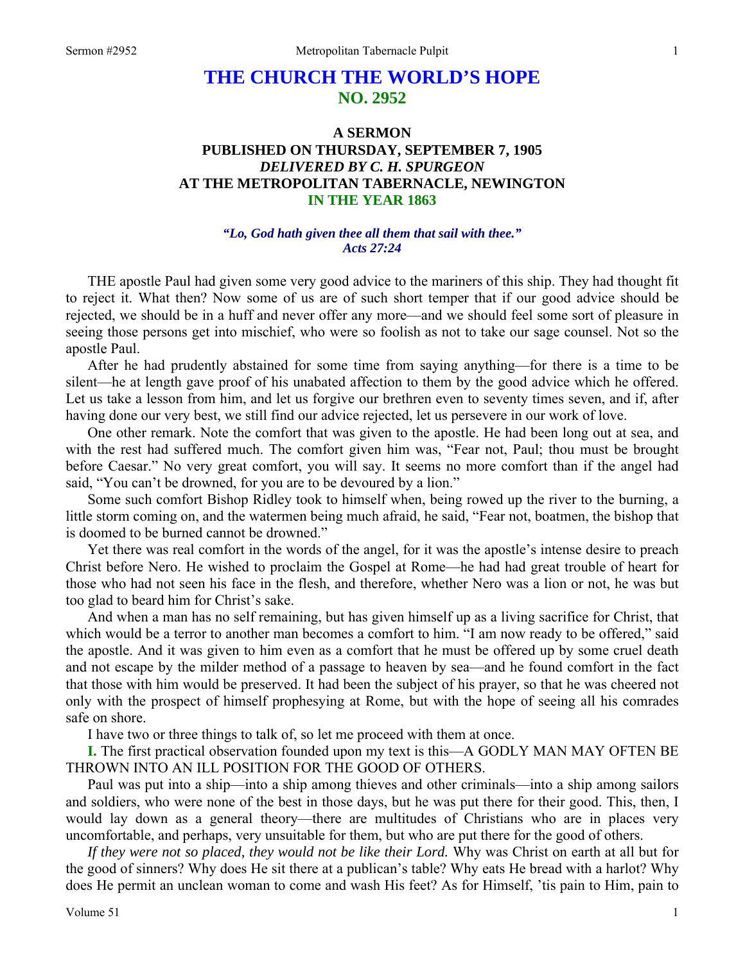## **THE CHURCH THE WORLD'S HOPE NO. 2952**

## **A SERMON PUBLISHED ON THURSDAY, SEPTEMBER 7, 1905**  *DELIVERED BY C. H. SPURGEON*  **AT THE METROPOLITAN TABERNACLE, NEWINGTON IN THE YEAR 1863**

## *"Lo, God hath given thee all them that sail with thee." Acts 27:24*

THE apostle Paul had given some very good advice to the mariners of this ship. They had thought fit to reject it. What then? Now some of us are of such short temper that if our good advice should be rejected, we should be in a huff and never offer any more—and we should feel some sort of pleasure in seeing those persons get into mischief, who were so foolish as not to take our sage counsel. Not so the apostle Paul.

 After he had prudently abstained for some time from saying anything—for there is a time to be silent—he at length gave proof of his unabated affection to them by the good advice which he offered. Let us take a lesson from him, and let us forgive our brethren even to seventy times seven, and if, after having done our very best, we still find our advice rejected, let us persevere in our work of love.

 One other remark. Note the comfort that was given to the apostle. He had been long out at sea, and with the rest had suffered much. The comfort given him was, "Fear not, Paul; thou must be brought before Caesar." No very great comfort, you will say. It seems no more comfort than if the angel had said, "You can't be drowned, for you are to be devoured by a lion."

 Some such comfort Bishop Ridley took to himself when, being rowed up the river to the burning, a little storm coming on, and the watermen being much afraid, he said, "Fear not, boatmen, the bishop that is doomed to be burned cannot be drowned."

 Yet there was real comfort in the words of the angel, for it was the apostle's intense desire to preach Christ before Nero. He wished to proclaim the Gospel at Rome—he had had great trouble of heart for those who had not seen his face in the flesh, and therefore, whether Nero was a lion or not, he was but too glad to beard him for Christ's sake.

 And when a man has no self remaining, but has given himself up as a living sacrifice for Christ, that which would be a terror to another man becomes a comfort to him. "I am now ready to be offered," said the apostle. And it was given to him even as a comfort that he must be offered up by some cruel death and not escape by the milder method of a passage to heaven by sea—and he found comfort in the fact that those with him would be preserved. It had been the subject of his prayer, so that he was cheered not only with the prospect of himself prophesying at Rome, but with the hope of seeing all his comrades safe on shore.

I have two or three things to talk of, so let me proceed with them at once.

**I.** The first practical observation founded upon my text is this—A GODLY MAN MAY OFTEN BE THROWN INTO AN ILL POSITION FOR THE GOOD OF OTHERS.

 Paul was put into a ship—into a ship among thieves and other criminals—into a ship among sailors and soldiers, who were none of the best in those days, but he was put there for their good. This, then, I would lay down as a general theory—there are multitudes of Christians who are in places very uncomfortable, and perhaps, very unsuitable for them, but who are put there for the good of others.

*If they were not so placed, they would not be like their Lord.* Why was Christ on earth at all but for the good of sinners? Why does He sit there at a publican's table? Why eats He bread with a harlot? Why does He permit an unclean woman to come and wash His feet? As for Himself, 'tis pain to Him, pain to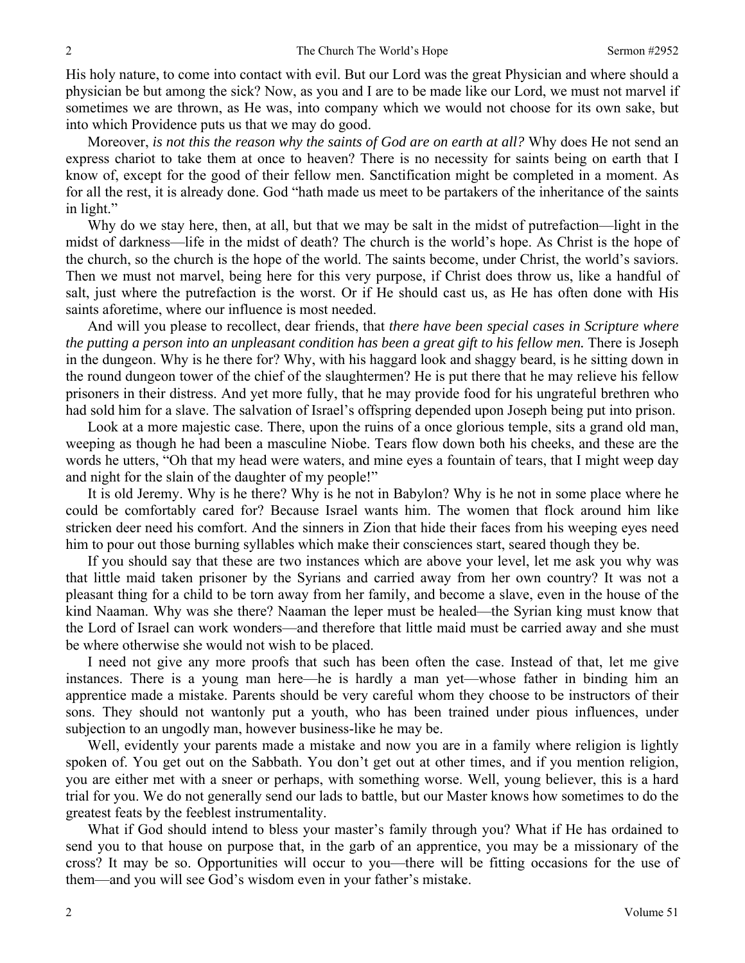His holy nature, to come into contact with evil. But our Lord was the great Physician and where should a physician be but among the sick? Now, as you and I are to be made like our Lord, we must not marvel if sometimes we are thrown, as He was, into company which we would not choose for its own sake, but into which Providence puts us that we may do good.

 Moreover, *is not this the reason why the saints of God are on earth at all?* Why does He not send an express chariot to take them at once to heaven? There is no necessity for saints being on earth that I know of, except for the good of their fellow men. Sanctification might be completed in a moment. As for all the rest, it is already done. God "hath made us meet to be partakers of the inheritance of the saints in light."

 Why do we stay here, then, at all, but that we may be salt in the midst of putrefaction—light in the midst of darkness—life in the midst of death? The church is the world's hope. As Christ is the hope of the church, so the church is the hope of the world. The saints become, under Christ, the world's saviors. Then we must not marvel, being here for this very purpose, if Christ does throw us, like a handful of salt, just where the putrefaction is the worst. Or if He should cast us, as He has often done with His saints aforetime, where our influence is most needed.

 And will you please to recollect, dear friends, that *there have been special cases in Scripture where the putting a person into an unpleasant condition has been a great gift to his fellow men.* There is Joseph in the dungeon. Why is he there for? Why, with his haggard look and shaggy beard, is he sitting down in the round dungeon tower of the chief of the slaughtermen? He is put there that he may relieve his fellow prisoners in their distress. And yet more fully, that he may provide food for his ungrateful brethren who had sold him for a slave. The salvation of Israel's offspring depended upon Joseph being put into prison.

 Look at a more majestic case. There, upon the ruins of a once glorious temple, sits a grand old man, weeping as though he had been a masculine Niobe. Tears flow down both his cheeks, and these are the words he utters, "Oh that my head were waters, and mine eyes a fountain of tears, that I might weep day and night for the slain of the daughter of my people!"

 It is old Jeremy. Why is he there? Why is he not in Babylon? Why is he not in some place where he could be comfortably cared for? Because Israel wants him. The women that flock around him like stricken deer need his comfort. And the sinners in Zion that hide their faces from his weeping eyes need him to pour out those burning syllables which make their consciences start, seared though they be.

 If you should say that these are two instances which are above your level, let me ask you why was that little maid taken prisoner by the Syrians and carried away from her own country? It was not a pleasant thing for a child to be torn away from her family, and become a slave, even in the house of the kind Naaman. Why was she there? Naaman the leper must be healed—the Syrian king must know that the Lord of Israel can work wonders—and therefore that little maid must be carried away and she must be where otherwise she would not wish to be placed.

 I need not give any more proofs that such has been often the case. Instead of that, let me give instances. There is a young man here—he is hardly a man yet—whose father in binding him an apprentice made a mistake. Parents should be very careful whom they choose to be instructors of their sons. They should not wantonly put a youth, who has been trained under pious influences, under subjection to an ungodly man, however business-like he may be.

 Well, evidently your parents made a mistake and now you are in a family where religion is lightly spoken of. You get out on the Sabbath. You don't get out at other times, and if you mention religion, you are either met with a sneer or perhaps, with something worse. Well, young believer, this is a hard trial for you. We do not generally send our lads to battle, but our Master knows how sometimes to do the greatest feats by the feeblest instrumentality.

 What if God should intend to bless your master's family through you? What if He has ordained to send you to that house on purpose that, in the garb of an apprentice, you may be a missionary of the cross? It may be so. Opportunities will occur to you—there will be fitting occasions for the use of them—and you will see God's wisdom even in your father's mistake.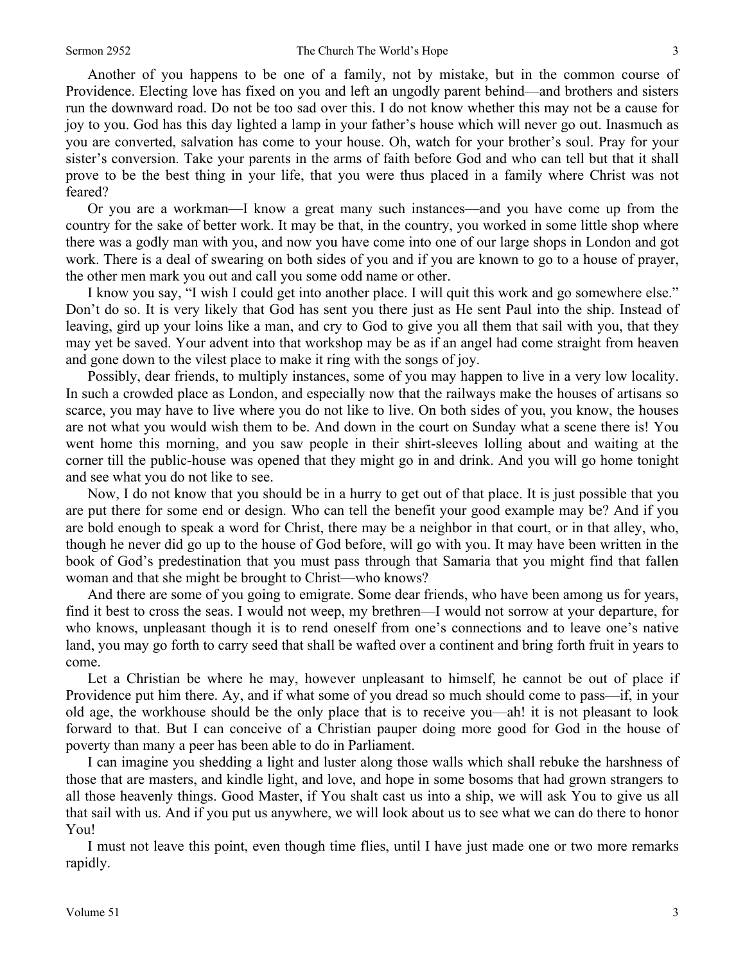Another of you happens to be one of a family, not by mistake, but in the common course of Providence. Electing love has fixed on you and left an ungodly parent behind—and brothers and sisters run the downward road. Do not be too sad over this. I do not know whether this may not be a cause for joy to you. God has this day lighted a lamp in your father's house which will never go out. Inasmuch as you are converted, salvation has come to your house. Oh, watch for your brother's soul. Pray for your sister's conversion. Take your parents in the arms of faith before God and who can tell but that it shall prove to be the best thing in your life, that you were thus placed in a family where Christ was not feared?

 Or you are a workman—I know a great many such instances—and you have come up from the country for the sake of better work. It may be that, in the country, you worked in some little shop where there was a godly man with you, and now you have come into one of our large shops in London and got work. There is a deal of swearing on both sides of you and if you are known to go to a house of prayer, the other men mark you out and call you some odd name or other.

 I know you say, "I wish I could get into another place. I will quit this work and go somewhere else." Don't do so. It is very likely that God has sent you there just as He sent Paul into the ship. Instead of leaving, gird up your loins like a man, and cry to God to give you all them that sail with you, that they may yet be saved. Your advent into that workshop may be as if an angel had come straight from heaven and gone down to the vilest place to make it ring with the songs of joy.

 Possibly, dear friends, to multiply instances, some of you may happen to live in a very low locality. In such a crowded place as London, and especially now that the railways make the houses of artisans so scarce, you may have to live where you do not like to live. On both sides of you, you know, the houses are not what you would wish them to be. And down in the court on Sunday what a scene there is! You went home this morning, and you saw people in their shirt-sleeves lolling about and waiting at the corner till the public-house was opened that they might go in and drink. And you will go home tonight and see what you do not like to see.

 Now, I do not know that you should be in a hurry to get out of that place. It is just possible that you are put there for some end or design. Who can tell the benefit your good example may be? And if you are bold enough to speak a word for Christ, there may be a neighbor in that court, or in that alley, who, though he never did go up to the house of God before, will go with you. It may have been written in the book of God's predestination that you must pass through that Samaria that you might find that fallen woman and that she might be brought to Christ—who knows?

 And there are some of you going to emigrate. Some dear friends, who have been among us for years, find it best to cross the seas. I would not weep, my brethren—I would not sorrow at your departure, for who knows, unpleasant though it is to rend oneself from one's connections and to leave one's native land, you may go forth to carry seed that shall be wafted over a continent and bring forth fruit in years to come.

 Let a Christian be where he may, however unpleasant to himself, he cannot be out of place if Providence put him there. Ay, and if what some of you dread so much should come to pass—if, in your old age, the workhouse should be the only place that is to receive you—ah! it is not pleasant to look forward to that. But I can conceive of a Christian pauper doing more good for God in the house of poverty than many a peer has been able to do in Parliament.

 I can imagine you shedding a light and luster along those walls which shall rebuke the harshness of those that are masters, and kindle light, and love, and hope in some bosoms that had grown strangers to all those heavenly things. Good Master, if You shalt cast us into a ship, we will ask You to give us all that sail with us. And if you put us anywhere, we will look about us to see what we can do there to honor You!

 I must not leave this point, even though time flies, until I have just made one or two more remarks rapidly.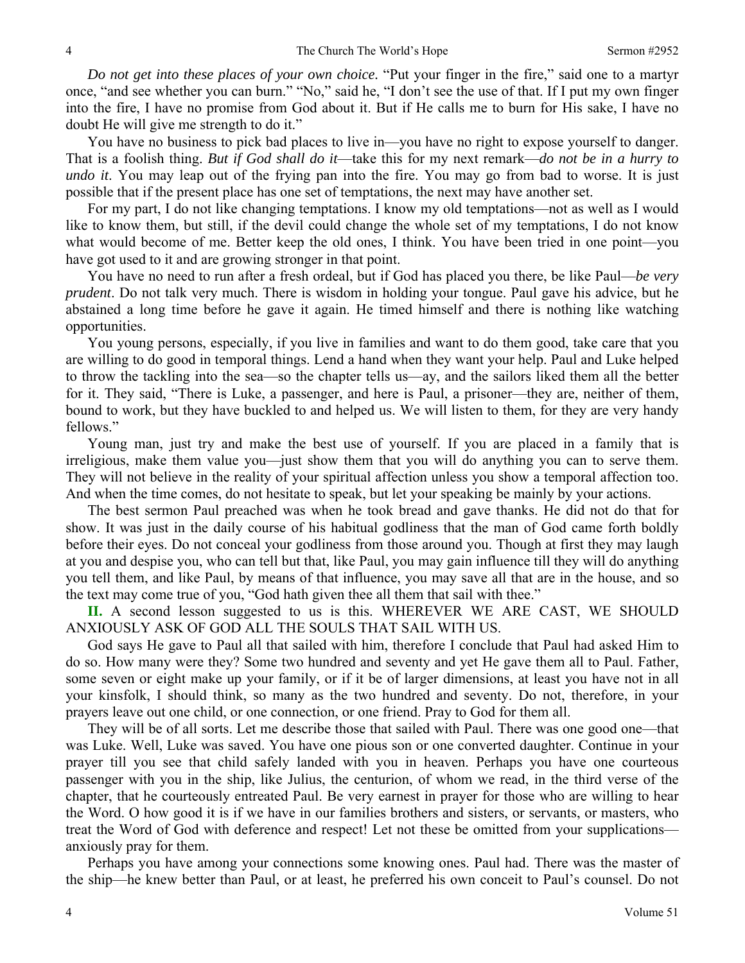*Do not get into these places of your own choice.* "Put your finger in the fire," said one to a martyr once, "and see whether you can burn." "No," said he, "I don't see the use of that. If I put my own finger into the fire, I have no promise from God about it. But if He calls me to burn for His sake, I have no doubt He will give me strength to do it."

 You have no business to pick bad places to live in—you have no right to expose yourself to danger. That is a foolish thing. *But if God shall do it*—take this for my next remark—*do not be in a hurry to undo it*. You may leap out of the frying pan into the fire. You may go from bad to worse. It is just possible that if the present place has one set of temptations, the next may have another set.

 For my part, I do not like changing temptations. I know my old temptations—not as well as I would like to know them, but still, if the devil could change the whole set of my temptations, I do not know what would become of me. Better keep the old ones, I think. You have been tried in one point—you have got used to it and are growing stronger in that point.

 You have no need to run after a fresh ordeal, but if God has placed you there, be like Paul—*be very prudent*. Do not talk very much. There is wisdom in holding your tongue. Paul gave his advice, but he abstained a long time before he gave it again. He timed himself and there is nothing like watching opportunities.

 You young persons, especially, if you live in families and want to do them good, take care that you are willing to do good in temporal things. Lend a hand when they want your help. Paul and Luke helped to throw the tackling into the sea—so the chapter tells us—ay, and the sailors liked them all the better for it. They said, "There is Luke, a passenger, and here is Paul, a prisoner—they are, neither of them, bound to work, but they have buckled to and helped us. We will listen to them, for they are very handy fellows."

 Young man, just try and make the best use of yourself. If you are placed in a family that is irreligious, make them value you—just show them that you will do anything you can to serve them. They will not believe in the reality of your spiritual affection unless you show a temporal affection too. And when the time comes, do not hesitate to speak, but let your speaking be mainly by your actions.

 The best sermon Paul preached was when he took bread and gave thanks. He did not do that for show. It was just in the daily course of his habitual godliness that the man of God came forth boldly before their eyes. Do not conceal your godliness from those around you. Though at first they may laugh at you and despise you, who can tell but that, like Paul, you may gain influence till they will do anything you tell them, and like Paul, by means of that influence, you may save all that are in the house, and so the text may come true of you, "God hath given thee all them that sail with thee."

 **II.** A second lesson suggested to us is this. WHEREVER WE ARE CAST, WE SHOULD ANXIOUSLY ASK OF GOD ALL THE SOULS THAT SAIL WITH US.

 God says He gave to Paul all that sailed with him, therefore I conclude that Paul had asked Him to do so. How many were they? Some two hundred and seventy and yet He gave them all to Paul. Father, some seven or eight make up your family, or if it be of larger dimensions, at least you have not in all your kinsfolk, I should think, so many as the two hundred and seventy. Do not, therefore, in your prayers leave out one child, or one connection, or one friend. Pray to God for them all.

 They will be of all sorts. Let me describe those that sailed with Paul. There was one good one—that was Luke. Well, Luke was saved. You have one pious son or one converted daughter. Continue in your prayer till you see that child safely landed with you in heaven. Perhaps you have one courteous passenger with you in the ship, like Julius, the centurion, of whom we read, in the third verse of the chapter, that he courteously entreated Paul. Be very earnest in prayer for those who are willing to hear the Word. O how good it is if we have in our families brothers and sisters, or servants, or masters, who treat the Word of God with deference and respect! Let not these be omitted from your supplications anxiously pray for them.

 Perhaps you have among your connections some knowing ones. Paul had. There was the master of the ship—he knew better than Paul, or at least, he preferred his own conceit to Paul's counsel. Do not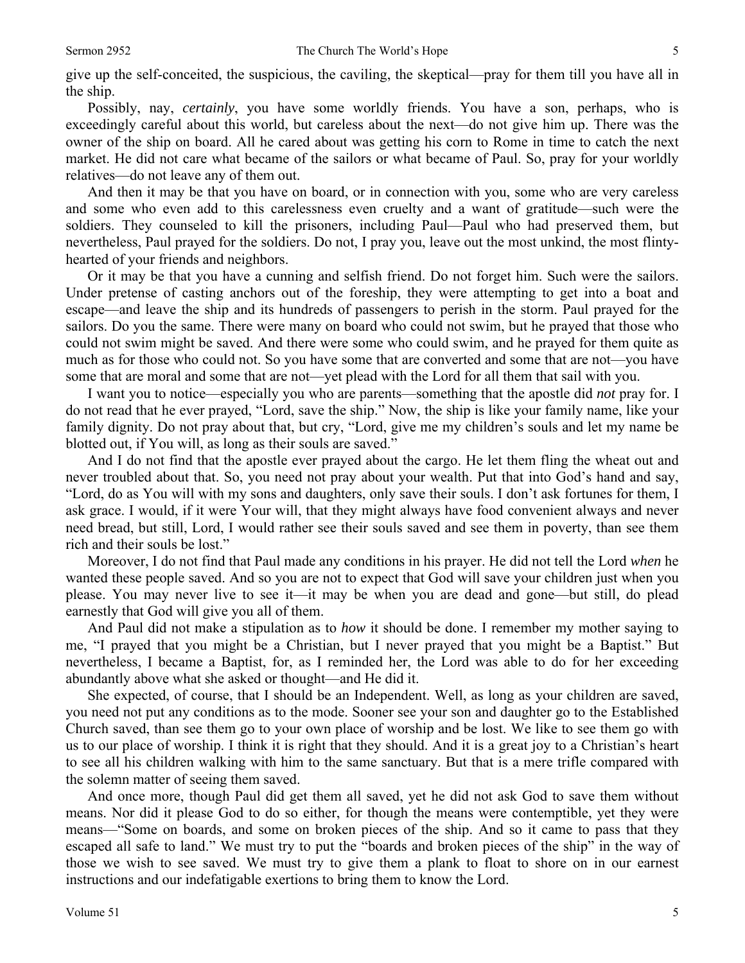give up the self-conceited, the suspicious, the caviling, the skeptical—pray for them till you have all in the ship.

 Possibly, nay, *certainly*, you have some worldly friends. You have a son, perhaps, who is exceedingly careful about this world, but careless about the next—do not give him up. There was the owner of the ship on board. All he cared about was getting his corn to Rome in time to catch the next market. He did not care what became of the sailors or what became of Paul. So, pray for your worldly relatives—do not leave any of them out.

 And then it may be that you have on board, or in connection with you, some who are very careless and some who even add to this carelessness even cruelty and a want of gratitude—such were the soldiers. They counseled to kill the prisoners, including Paul—Paul who had preserved them, but nevertheless, Paul prayed for the soldiers. Do not, I pray you, leave out the most unkind, the most flintyhearted of your friends and neighbors.

 Or it may be that you have a cunning and selfish friend. Do not forget him. Such were the sailors. Under pretense of casting anchors out of the foreship, they were attempting to get into a boat and escape—and leave the ship and its hundreds of passengers to perish in the storm. Paul prayed for the sailors. Do you the same. There were many on board who could not swim, but he prayed that those who could not swim might be saved. And there were some who could swim, and he prayed for them quite as much as for those who could not. So you have some that are converted and some that are not—you have some that are moral and some that are not—yet plead with the Lord for all them that sail with you.

 I want you to notice—especially you who are parents—something that the apostle did *not* pray for. I do not read that he ever prayed, "Lord, save the ship." Now, the ship is like your family name, like your family dignity. Do not pray about that, but cry, "Lord, give me my children's souls and let my name be blotted out, if You will, as long as their souls are saved."

 And I do not find that the apostle ever prayed about the cargo. He let them fling the wheat out and never troubled about that. So, you need not pray about your wealth. Put that into God's hand and say, "Lord, do as You will with my sons and daughters, only save their souls. I don't ask fortunes for them, I ask grace. I would, if it were Your will, that they might always have food convenient always and never need bread, but still, Lord, I would rather see their souls saved and see them in poverty, than see them rich and their souls be lost."

 Moreover, I do not find that Paul made any conditions in his prayer. He did not tell the Lord *when* he wanted these people saved. And so you are not to expect that God will save your children just when you please. You may never live to see it—it may be when you are dead and gone—but still, do plead earnestly that God will give you all of them.

 And Paul did not make a stipulation as to *how* it should be done. I remember my mother saying to me, "I prayed that you might be a Christian, but I never prayed that you might be a Baptist." But nevertheless, I became a Baptist, for, as I reminded her, the Lord was able to do for her exceeding abundantly above what she asked or thought—and He did it.

 She expected, of course, that I should be an Independent. Well, as long as your children are saved, you need not put any conditions as to the mode. Sooner see your son and daughter go to the Established Church saved, than see them go to your own place of worship and be lost. We like to see them go with us to our place of worship. I think it is right that they should. And it is a great joy to a Christian's heart to see all his children walking with him to the same sanctuary. But that is a mere trifle compared with the solemn matter of seeing them saved.

 And once more, though Paul did get them all saved, yet he did not ask God to save them without means. Nor did it please God to do so either, for though the means were contemptible, yet they were means—"Some on boards, and some on broken pieces of the ship. And so it came to pass that they escaped all safe to land." We must try to put the "boards and broken pieces of the ship" in the way of those we wish to see saved. We must try to give them a plank to float to shore on in our earnest instructions and our indefatigable exertions to bring them to know the Lord.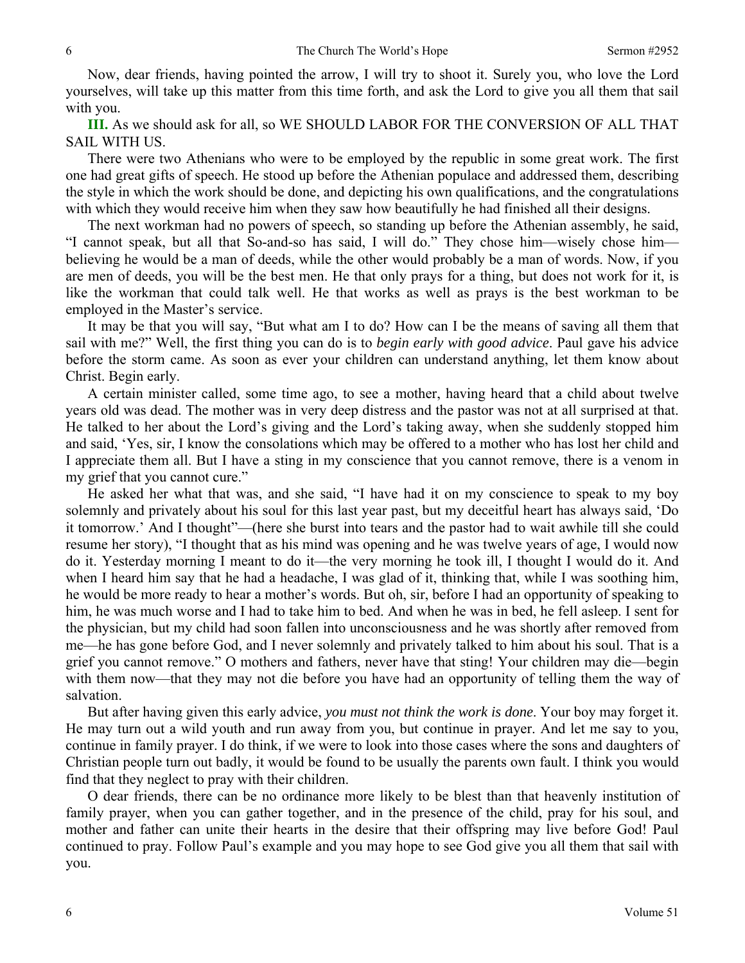Now, dear friends, having pointed the arrow, I will try to shoot it. Surely you, who love the Lord yourselves, will take up this matter from this time forth, and ask the Lord to give you all them that sail with you.

**III.** As we should ask for all, so WE SHOULD LABOR FOR THE CONVERSION OF ALL THAT SAIL WITH US.

 There were two Athenians who were to be employed by the republic in some great work. The first one had great gifts of speech. He stood up before the Athenian populace and addressed them, describing the style in which the work should be done, and depicting his own qualifications, and the congratulations with which they would receive him when they saw how beautifully he had finished all their designs.

 The next workman had no powers of speech, so standing up before the Athenian assembly, he said, "I cannot speak, but all that So-and-so has said, I will do." They chose him—wisely chose him believing he would be a man of deeds, while the other would probably be a man of words. Now, if you are men of deeds, you will be the best men. He that only prays for a thing, but does not work for it, is like the workman that could talk well. He that works as well as prays is the best workman to be employed in the Master's service.

 It may be that you will say, "But what am I to do? How can I be the means of saving all them that sail with me?" Well, the first thing you can do is to *begin early with good advice*. Paul gave his advice before the storm came. As soon as ever your children can understand anything, let them know about Christ. Begin early.

 A certain minister called, some time ago, to see a mother, having heard that a child about twelve years old was dead. The mother was in very deep distress and the pastor was not at all surprised at that. He talked to her about the Lord's giving and the Lord's taking away, when she suddenly stopped him and said, 'Yes, sir, I know the consolations which may be offered to a mother who has lost her child and I appreciate them all. But I have a sting in my conscience that you cannot remove, there is a venom in my grief that you cannot cure."

 He asked her what that was, and she said, "I have had it on my conscience to speak to my boy solemnly and privately about his soul for this last year past, but my deceitful heart has always said, 'Do it tomorrow.' And I thought"—(here she burst into tears and the pastor had to wait awhile till she could resume her story), "I thought that as his mind was opening and he was twelve years of age, I would now do it. Yesterday morning I meant to do it—the very morning he took ill, I thought I would do it. And when I heard him say that he had a headache, I was glad of it, thinking that, while I was soothing him, he would be more ready to hear a mother's words. But oh, sir, before I had an opportunity of speaking to him, he was much worse and I had to take him to bed. And when he was in bed, he fell asleep. I sent for the physician, but my child had soon fallen into unconsciousness and he was shortly after removed from me—he has gone before God, and I never solemnly and privately talked to him about his soul. That is a grief you cannot remove." O mothers and fathers, never have that sting! Your children may die—begin with them now—that they may not die before you have had an opportunity of telling them the way of salvation.

 But after having given this early advice, *you must not think the work is done*. Your boy may forget it. He may turn out a wild youth and run away from you, but continue in prayer. And let me say to you, continue in family prayer. I do think, if we were to look into those cases where the sons and daughters of Christian people turn out badly, it would be found to be usually the parents own fault. I think you would find that they neglect to pray with their children.

 O dear friends, there can be no ordinance more likely to be blest than that heavenly institution of family prayer, when you can gather together, and in the presence of the child, pray for his soul, and mother and father can unite their hearts in the desire that their offspring may live before God! Paul continued to pray. Follow Paul's example and you may hope to see God give you all them that sail with you.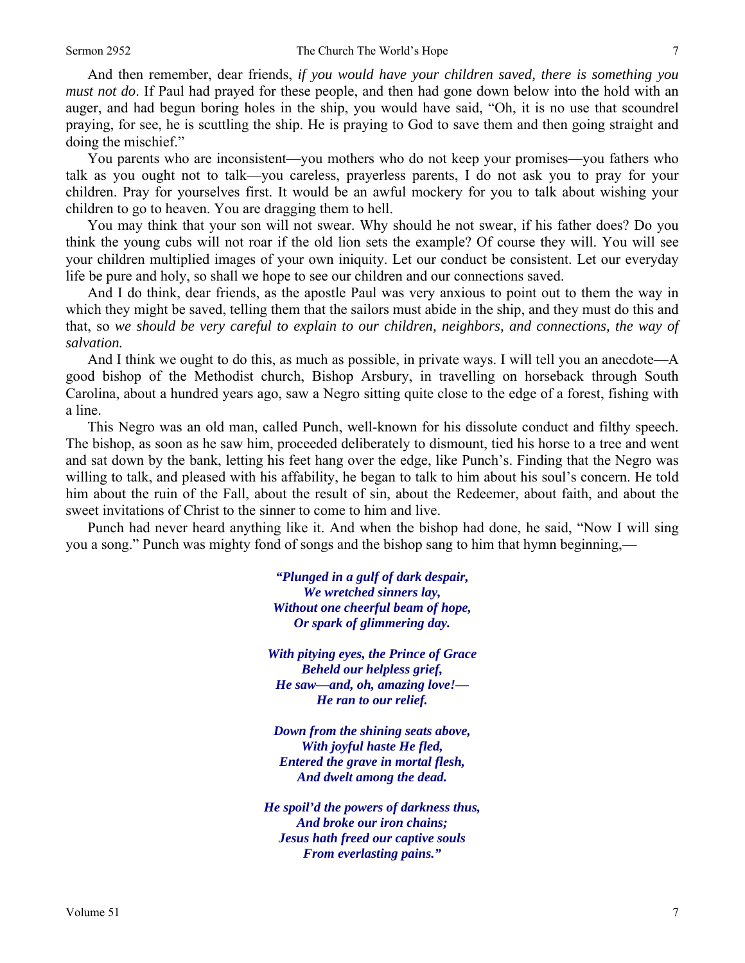And then remember, dear friends, *if you would have your children saved, there is something you must not do*. If Paul had prayed for these people, and then had gone down below into the hold with an auger, and had begun boring holes in the ship, you would have said, "Oh, it is no use that scoundrel praying, for see, he is scuttling the ship. He is praying to God to save them and then going straight and doing the mischief."

 You parents who are inconsistent—you mothers who do not keep your promises—you fathers who talk as you ought not to talk—you careless, prayerless parents, I do not ask you to pray for your children. Pray for yourselves first. It would be an awful mockery for you to talk about wishing your children to go to heaven. You are dragging them to hell.

 You may think that your son will not swear. Why should he not swear, if his father does? Do you think the young cubs will not roar if the old lion sets the example? Of course they will. You will see your children multiplied images of your own iniquity. Let our conduct be consistent. Let our everyday life be pure and holy, so shall we hope to see our children and our connections saved.

 And I do think, dear friends, as the apostle Paul was very anxious to point out to them the way in which they might be saved, telling them that the sailors must abide in the ship, and they must do this and that, so *we should be very careful to explain to our children, neighbors, and connections, the way of salvation.* 

And I think we ought to do this, as much as possible, in private ways. I will tell you an anecdote—A good bishop of the Methodist church, Bishop Arsbury, in travelling on horseback through South Carolina, about a hundred years ago, saw a Negro sitting quite close to the edge of a forest, fishing with a line.

 This Negro was an old man, called Punch, well-known for his dissolute conduct and filthy speech. The bishop, as soon as he saw him, proceeded deliberately to dismount, tied his horse to a tree and went and sat down by the bank, letting his feet hang over the edge, like Punch's. Finding that the Negro was willing to talk, and pleased with his affability, he began to talk to him about his soul's concern. He told him about the ruin of the Fall, about the result of sin, about the Redeemer, about faith, and about the sweet invitations of Christ to the sinner to come to him and live.

 Punch had never heard anything like it. And when the bishop had done, he said, "Now I will sing you a song." Punch was mighty fond of songs and the bishop sang to him that hymn beginning,—

> *"Plunged in a gulf of dark despair, We wretched sinners lay, Without one cheerful beam of hope, Or spark of glimmering day.*

*With pitying eyes, the Prince of Grace Beheld our helpless grief, He saw—and, oh, amazing love!— He ran to our relief.* 

*Down from the shining seats above, With joyful haste He fled, Entered the grave in mortal flesh, And dwelt among the dead.* 

*He spoil'd the powers of darkness thus, And broke our iron chains; Jesus hath freed our captive souls From everlasting pains."*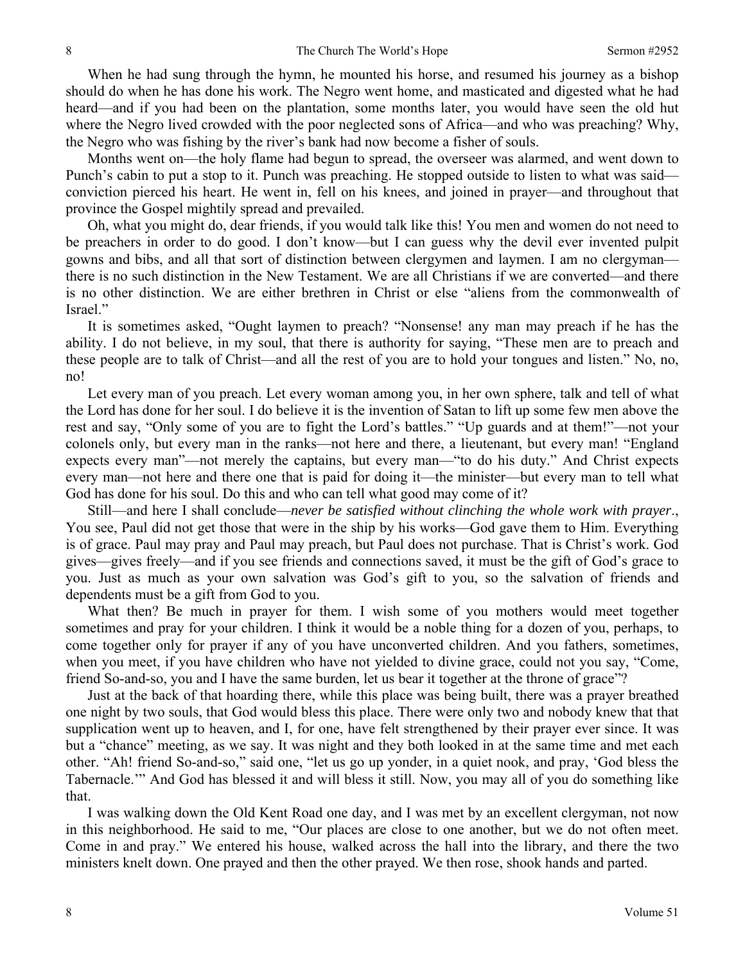When he had sung through the hymn, he mounted his horse, and resumed his journey as a bishop should do when he has done his work. The Negro went home, and masticated and digested what he had heard—and if you had been on the plantation, some months later, you would have seen the old hut where the Negro lived crowded with the poor neglected sons of Africa—and who was preaching? Why, the Negro who was fishing by the river's bank had now become a fisher of souls.

 Months went on—the holy flame had begun to spread, the overseer was alarmed, and went down to Punch's cabin to put a stop to it. Punch was preaching. He stopped outside to listen to what was said conviction pierced his heart. He went in, fell on his knees, and joined in prayer—and throughout that province the Gospel mightily spread and prevailed.

 Oh, what you might do, dear friends, if you would talk like this! You men and women do not need to be preachers in order to do good. I don't know—but I can guess why the devil ever invented pulpit gowns and bibs, and all that sort of distinction between clergymen and laymen. I am no clergyman there is no such distinction in the New Testament. We are all Christians if we are converted—and there is no other distinction. We are either brethren in Christ or else "aliens from the commonwealth of Israel."

 It is sometimes asked, "Ought laymen to preach? "Nonsense! any man may preach if he has the ability. I do not believe, in my soul, that there is authority for saying, "These men are to preach and these people are to talk of Christ—and all the rest of you are to hold your tongues and listen." No, no, no!

 Let every man of you preach. Let every woman among you, in her own sphere, talk and tell of what the Lord has done for her soul. I do believe it is the invention of Satan to lift up some few men above the rest and say, "Only some of you are to fight the Lord's battles." "Up guards and at them!"—not your colonels only, but every man in the ranks—not here and there, a lieutenant, but every man! "England expects every man"—not merely the captains, but every man—"to do his duty." And Christ expects every man—not here and there one that is paid for doing it—the minister—but every man to tell what God has done for his soul. Do this and who can tell what good may come of it?

 Still—and here I shall conclude—*never be satisfied without clinching the whole work with prayer*., You see, Paul did not get those that were in the ship by his works—God gave them to Him. Everything is of grace. Paul may pray and Paul may preach, but Paul does not purchase. That is Christ's work. God gives—gives freely—and if you see friends and connections saved, it must be the gift of God's grace to you. Just as much as your own salvation was God's gift to you, so the salvation of friends and dependents must be a gift from God to you.

 What then? Be much in prayer for them. I wish some of you mothers would meet together sometimes and pray for your children. I think it would be a noble thing for a dozen of you, perhaps, to come together only for prayer if any of you have unconverted children. And you fathers, sometimes, when you meet, if you have children who have not yielded to divine grace, could not you say, "Come, friend So-and-so, you and I have the same burden, let us bear it together at the throne of grace"?

 Just at the back of that hoarding there, while this place was being built, there was a prayer breathed one night by two souls, that God would bless this place. There were only two and nobody knew that that supplication went up to heaven, and I, for one, have felt strengthened by their prayer ever since. It was but a "chance" meeting, as we say. It was night and they both looked in at the same time and met each other. "Ah! friend So-and-so," said one, "let us go up yonder, in a quiet nook, and pray, 'God bless the Tabernacle.'" And God has blessed it and will bless it still. Now, you may all of you do something like that.

 I was walking down the Old Kent Road one day, and I was met by an excellent clergyman, not now in this neighborhood. He said to me, "Our places are close to one another, but we do not often meet. Come in and pray." We entered his house, walked across the hall into the library, and there the two ministers knelt down. One prayed and then the other prayed. We then rose, shook hands and parted.